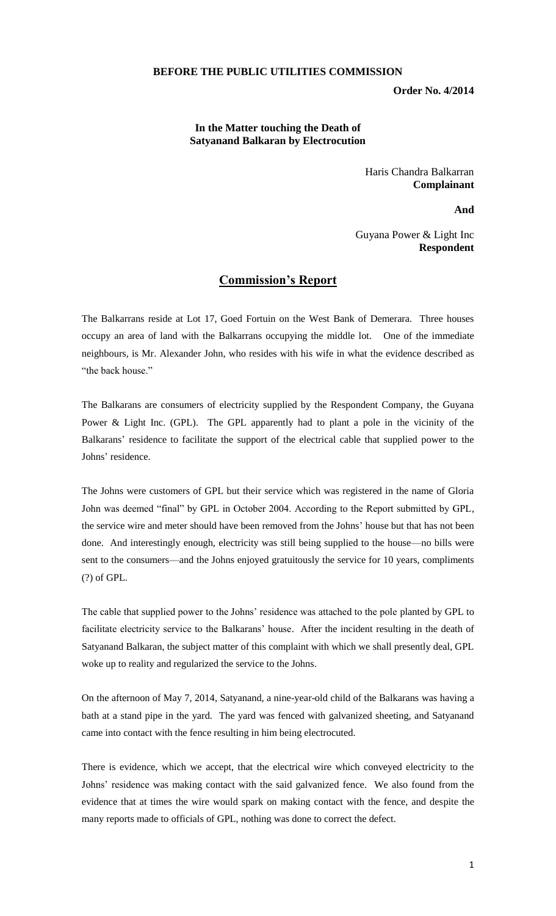## **BEFORE THE PUBLIC UTILITIES COMMISSION**

**Order No. 4/2014**

## **In the Matter touching the Death of Satyanand Balkaran by Electrocution**

Haris Chandra Balkarran **Complainant**

**And**

Guyana Power & Light Inc **Respondent**

## **Commission's Report**

The Balkarrans reside at Lot 17, Goed Fortuin on the West Bank of Demerara. Three houses occupy an area of land with the Balkarrans occupying the middle lot. One of the immediate neighbours, is Mr. Alexander John, who resides with his wife in what the evidence described as "the back house."

The Balkarans are consumers of electricity supplied by the Respondent Company, the Guyana Power & Light Inc. (GPL). The GPL apparently had to plant a pole in the vicinity of the Balkarans' residence to facilitate the support of the electrical cable that supplied power to the Johns' residence.

The Johns were customers of GPL but their service which was registered in the name of Gloria John was deemed "final" by GPL in October 2004. According to the Report submitted by GPL, the service wire and meter should have been removed from the Johns' house but that has not been done. And interestingly enough, electricity was still being supplied to the house—no bills were sent to the consumers—and the Johns enjoyed gratuitously the service for 10 years, compliments (?) of GPL.

The cable that supplied power to the Johns' residence was attached to the pole planted by GPL to facilitate electricity service to the Balkarans' house. After the incident resulting in the death of Satyanand Balkaran, the subject matter of this complaint with which we shall presently deal, GPL woke up to reality and regularized the service to the Johns.

On the afternoon of May 7, 2014, Satyanand, a nine-year-old child of the Balkarans was having a bath at a stand pipe in the yard. The yard was fenced with galvanized sheeting, and Satyanand came into contact with the fence resulting in him being electrocuted.

There is evidence, which we accept, that the electrical wire which conveyed electricity to the Johns' residence was making contact with the said galvanized fence. We also found from the evidence that at times the wire would spark on making contact with the fence, and despite the many reports made to officials of GPL, nothing was done to correct the defect.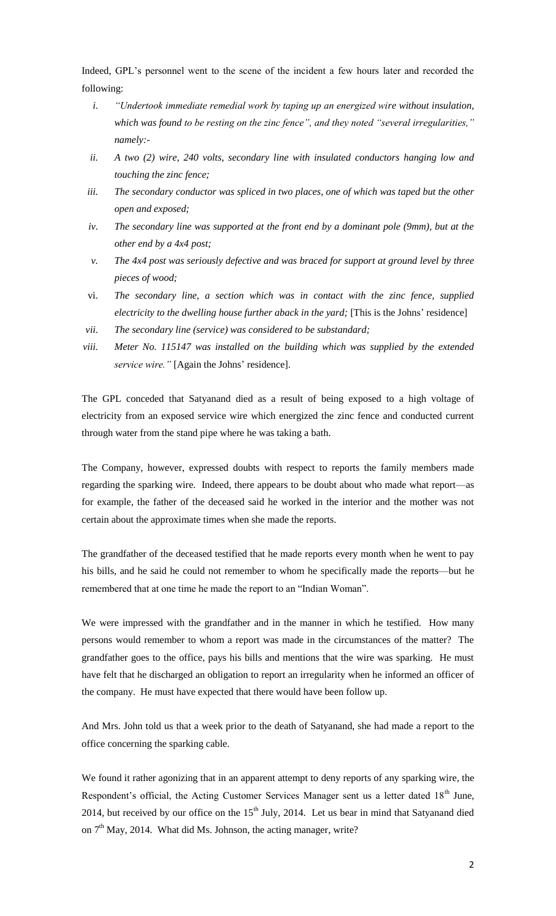Indeed, GPL's personnel went to the scene of the incident a few hours later and recorded the following:

- *i. "Undertook immediate remedial work by taping up an energized wire without insulation, which was found to be resting on the zinc fence", and they noted "several irregularities," namely:-*
- *ii. A two (2) wire, 240 volts, secondary line with insulated conductors hanging low and touching the zinc fence;*
- *iii. The secondary conductor was spliced in two places, one of which was taped but the other open and exposed;*
- *iv. The secondary line was supported at the front end by a dominant pole (9mm), but at the other end by a 4x4 post;*
- *v. The 4x4 post was seriously defective and was braced for support at ground level by three pieces of wood;*
- vi. *The secondary line, a section which was in contact with the zinc fence, supplied electricity to the dwelling house further aback in the yard;* [This is the Johns' residence]
- *vii. The secondary line (service) was considered to be substandard;*
- *viii. Meter No. 115147 was installed on the building which was supplied by the extended service wire."* [Again the Johns' residence].

The GPL conceded that Satyanand died as a result of being exposed to a high voltage of electricity from an exposed service wire which energized the zinc fence and conducted current through water from the stand pipe where he was taking a bath.

The Company, however, expressed doubts with respect to reports the family members made regarding the sparking wire. Indeed, there appears to be doubt about who made what report—as for example, the father of the deceased said he worked in the interior and the mother was not certain about the approximate times when she made the reports.

The grandfather of the deceased testified that he made reports every month when he went to pay his bills, and he said he could not remember to whom he specifically made the reports—but he remembered that at one time he made the report to an "Indian Woman".

We were impressed with the grandfather and in the manner in which he testified. How many persons would remember to whom a report was made in the circumstances of the matter? The grandfather goes to the office, pays his bills and mentions that the wire was sparking. He must have felt that he discharged an obligation to report an irregularity when he informed an officer of the company. He must have expected that there would have been follow up.

And Mrs. John told us that a week prior to the death of Satyanand, she had made a report to the office concerning the sparking cable.

We found it rather agonizing that in an apparent attempt to deny reports of any sparking wire, the Respondent's official, the Acting Customer Services Manager sent us a letter dated 18<sup>th</sup> June, 2014, but received by our office on the  $15<sup>th</sup>$  July, 2014. Let us bear in mind that Satyanand died on 7<sup>th</sup> May, 2014. What did Ms. Johnson, the acting manager, write?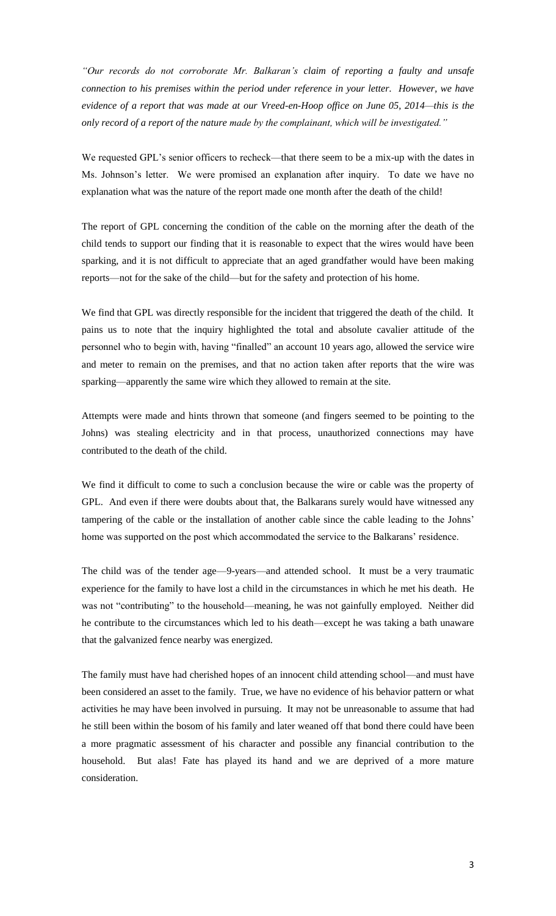*"Our records do not corroborate Mr. Balkaran's claim of reporting a faulty and unsafe connection to his premises within the period under reference in your letter. However, we have evidence of a report that was made at our Vreed-en-Hoop office on June 05, 2014—this is the only record of a report of the nature made by the complainant, which will be investigated."*

We requested GPL's senior officers to recheck—that there seem to be a mix-up with the dates in Ms. Johnson's letter. We were promised an explanation after inquiry. To date we have no explanation what was the nature of the report made one month after the death of the child!

The report of GPL concerning the condition of the cable on the morning after the death of the child tends to support our finding that it is reasonable to expect that the wires would have been sparking, and it is not difficult to appreciate that an aged grandfather would have been making reports—not for the sake of the child—but for the safety and protection of his home.

We find that GPL was directly responsible for the incident that triggered the death of the child. It pains us to note that the inquiry highlighted the total and absolute cavalier attitude of the personnel who to begin with, having "finalled" an account 10 years ago, allowed the service wire and meter to remain on the premises, and that no action taken after reports that the wire was sparking—apparently the same wire which they allowed to remain at the site.

Attempts were made and hints thrown that someone (and fingers seemed to be pointing to the Johns) was stealing electricity and in that process, unauthorized connections may have contributed to the death of the child.

We find it difficult to come to such a conclusion because the wire or cable was the property of GPL. And even if there were doubts about that, the Balkarans surely would have witnessed any tampering of the cable or the installation of another cable since the cable leading to the Johns' home was supported on the post which accommodated the service to the Balkarans' residence.

The child was of the tender age—9-years—and attended school. It must be a very traumatic experience for the family to have lost a child in the circumstances in which he met his death. He was not "contributing" to the household—meaning, he was not gainfully employed. Neither did he contribute to the circumstances which led to his death—except he was taking a bath unaware that the galvanized fence nearby was energized.

The family must have had cherished hopes of an innocent child attending school—and must have been considered an asset to the family. True, we have no evidence of his behavior pattern or what activities he may have been involved in pursuing. It may not be unreasonable to assume that had he still been within the bosom of his family and later weaned off that bond there could have been a more pragmatic assessment of his character and possible any financial contribution to the household. But alas! Fate has played its hand and we are deprived of a more mature consideration.